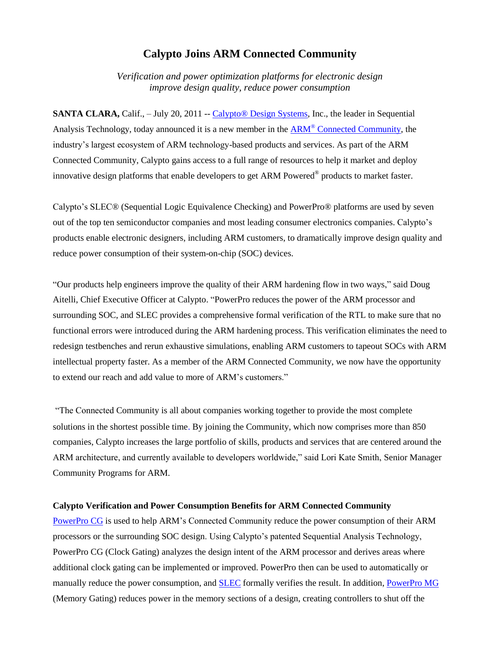## **Calypto Joins ARM Connected Community**

*Verification and power optimization platforms for electronic design improve design quality, reduce power consumption* 

**SANTA CLARA,** Calif., – July 20, 2011 -- Calypto<sup>®</sup> Design Systems, Inc., the leader in Sequential Analysis Technology, today announced it is a new member in the ARM<sup>®</sup> [Connected Community,](http://www.arm.com/community/) the industry's largest ecosystem of ARM technology-based products and services. As part of the ARM Connected Community, Calypto gains access to a full range of resources to help it market and deploy innovative design platforms that enable developers to get ARM Powered® products to market faster.

Calypto's SLEC® (Sequential Logic Equivalence Checking) and PowerPro® platforms are used by seven out of the top ten semiconductor companies and most leading consumer electronics companies. Calypto's products enable electronic designers, including ARM customers, to dramatically improve design quality and reduce power consumption of their system-on-chip (SOC) devices.

"Our products help engineers improve the quality of their ARM hardening flow in two ways," said Doug Aitelli, Chief Executive Officer at Calypto. "PowerPro reduces the power of the ARM processor and surrounding SOC, and SLEC provides a comprehensive formal verification of the RTL to make sure that no functional errors were introduced during the ARM hardening process. This verification eliminates the need to redesign testbenches and rerun exhaustive simulations, enabling ARM customers to tapeout SOCs with ARM intellectual property faster. As a member of the ARM Connected Community, we now have the opportunity to extend our reach and add value to more of ARM's customers."

"The Connected Community is all about companies working together to provide the most complete solutions in the shortest possible time. By joining the Community, which now comprises more than 850 companies, Calypto increases the large portfolio of skills, products and services that are centered around the ARM architecture, and currently available to developers worldwide," said Lori Kate Smith, Senior Manager Community Programs for ARM.

## **Calypto Verification and Power Consumption Benefits for ARM Connected Community**

[PowerPro](http://www.calypto.com/powerprocg.php) CG is used to help ARM's Connected Community reduce the power consumption of their ARM processors or the surrounding SOC design. Using Calypto's patented Sequential Analysis Technology, PowerPro CG (Clock Gating) analyzes the design intent of the ARM processor and derives areas where additional clock gating can be implemented or improved. PowerPro then can be used to automatically or manually reduce the power consumption, and [SLEC](http://www.calypto.com/slecrtl.php) formally verifies the result. In addition, [PowerPro MG](http://www.calypto.com/powerpromg.php) (Memory Gating) reduces power in the memory sections of a design, creating controllers to shut off the